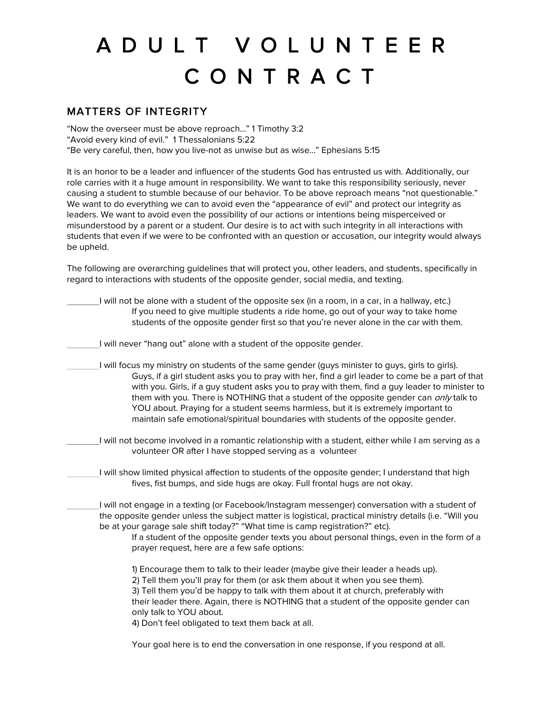## A D U L T V O L U N T E E R C O N T R A C T

## MATTERS OF INTEGRITY

"Now the overseer must be above reproach…" 1 Timothy 3:2

"Avoid every kind of evil." 1 Thessalonians 5:22

"Be very careful, then, how you live-not as unwise but as wise…" Ephesians 5:15

It is an honor to be a leader and influencer of the students God has entrusted us with. Additionally, our role carries with it a huge amount in responsibility. We want to take this responsibility seriously, never causing a student to stumble because of our behavior. To be above reproach means "not questionable." We want to do everything we can to avoid even the "appearance of evil" and protect our integrity as leaders. We want to avoid even the possibility of our actions or intentions being misperceived or misunderstood by a parent or a student. Our desire is to act with such integrity in all interactions with students that even if we were to be confronted with an question or accusation, our integrity would always be upheld.

The following are overarching guidelines that will protect you, other leaders, and students, specifically in regard to interactions with students of the opposite gender, social media, and texting.

| I will not be alone with a student of the opposite sex (in a room, in a car, in a hallway, etc.)<br>If you need to give multiple students a ride home, go out of your way to take home<br>students of the opposite gender first so that you're never alone in the car with them.                                                                                                                                                                                                                                                                                           |
|----------------------------------------------------------------------------------------------------------------------------------------------------------------------------------------------------------------------------------------------------------------------------------------------------------------------------------------------------------------------------------------------------------------------------------------------------------------------------------------------------------------------------------------------------------------------------|
| I will never "hang out" alone with a student of the opposite gender.                                                                                                                                                                                                                                                                                                                                                                                                                                                                                                       |
| I will focus my ministry on students of the same gender (guys minister to guys, girls to girls).<br>Guys, if a girl student asks you to pray with her, find a girl leader to come be a part of that<br>with you. Girls, if a guy student asks you to pray with them, find a guy leader to minister to<br>them with you. There is NOTHING that a student of the opposite gender can only talk to<br>YOU about. Praying for a student seems harmless, but it is extremely important to<br>maintain safe emotional/spiritual boundaries with students of the opposite gender. |
| I will not become involved in a romantic relationship with a student, either while I am serving as a<br>volunteer OR after I have stopped serving as a volunteer                                                                                                                                                                                                                                                                                                                                                                                                           |
| I will show limited physical affection to students of the opposite gender; I understand that high<br>fives, fist bumps, and side hugs are okay. Full frontal hugs are not okay.                                                                                                                                                                                                                                                                                                                                                                                            |
| I will not engage in a texting (or Facebook/Instagram messenger) conversation with a student of<br>the opposite gender unless the subject matter is logistical, practical ministry details (i.e. "Will you<br>be at your garage sale shift today?" "What time is camp registration?" etc).<br>If a student of the opposite gender texts you about personal things, even in the form of a<br>prayer request, here are a few safe options:                                                                                                                                   |
| 1) Encourage them to talk to their leader (maybe give their leader a heads up).<br>2) Tell them you'll pray for them (or ask them about it when you see them).<br>3) Tell them you'd be happy to talk with them about it at church, preferably with<br>their leader there. Again, there is NOTHING that a student of the opposite gender can<br>only talk to YOU about.<br>4) Don't feel obligated to text them back at all.                                                                                                                                               |

Your goal here is to end the conversation in one response, if you respond at all.